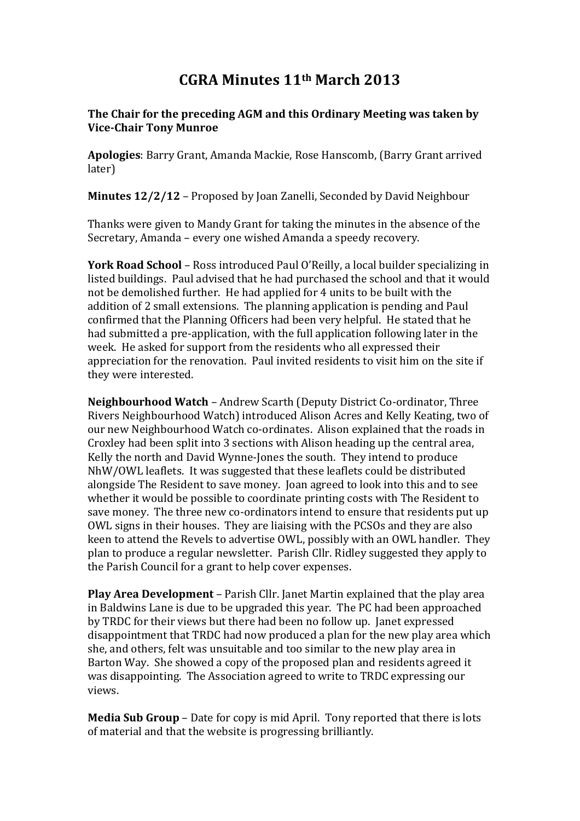## CGRA Minutes 11th March 2013

## The Chair for the preceding AGM and this Ordinary Meeting was taken by Vice-Chair Tony Munroe

Apologies: Barry Grant, Amanda Mackie, Rose Hanscomb, (Barry Grant arrived later)

Minutes 12/2/12 – Proposed by Joan Zanelli, Seconded by David Neighbour

Thanks were given to Mandy Grant for taking the minutes in the absence of the Secretary, Amanda – every one wished Amanda a speedy recovery.

York Road School – Ross introduced Paul O'Reilly, a local builder specializing in listed buildings. Paul advised that he had purchased the school and that it would not be demolished further. He had applied for 4 units to be built with the addition of 2 small extensions. The planning application is pending and Paul confirmed that the Planning Officers had been very helpful. He stated that he had submitted a pre-application, with the full application following later in the week. He asked for support from the residents who all expressed their appreciation for the renovation. Paul invited residents to visit him on the site if they were interested.

Neighbourhood Watch – Andrew Scarth (Deputy District Co-ordinator, Three Rivers Neighbourhood Watch) introduced Alison Acres and Kelly Keating, two of our new Neighbourhood Watch co-ordinates. Alison explained that the roads in Croxley had been split into 3 sections with Alison heading up the central area, Kelly the north and David Wynne-Jones the south. They intend to produce NhW/OWL leaflets. It was suggested that these leaflets could be distributed alongside The Resident to save money. Joan agreed to look into this and to see whether it would be possible to coordinate printing costs with The Resident to save money. The three new co-ordinators intend to ensure that residents put up OWL signs in their houses. They are liaising with the PCSOs and they are also keen to attend the Revels to advertise OWL, possibly with an OWL handler. They plan to produce a regular newsletter. Parish Cllr. Ridley suggested they apply to the Parish Council for a grant to help cover expenses.

Play Area Development – Parish Cllr. Janet Martin explained that the play area in Baldwins Lane is due to be upgraded this year. The PC had been approached by TRDC for their views but there had been no follow up. Janet expressed disappointment that TRDC had now produced a plan for the new play area which she, and others, felt was unsuitable and too similar to the new play area in Barton Way. She showed a copy of the proposed plan and residents agreed it was disappointing. The Association agreed to write to TRDC expressing our views.

Media Sub Group – Date for copy is mid April. Tony reported that there is lots of material and that the website is progressing brilliantly.